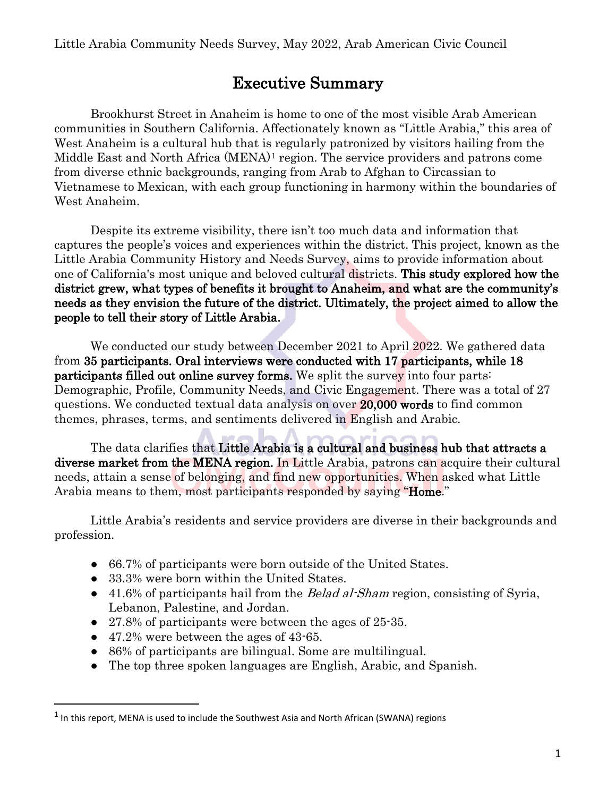Little Arabia Community Needs Survey, May 2022, Arab American Civic Council

## Executive Summary

Brookhurst Street in Anaheim is home to one of the most visible Arab American communities in Southern California. Affectionately known as "Little Arabia," this area of West Anaheim is a cultural hub that is regularly patronized by visitors hailing from the Middle East and North Africa (MENA)[1](#page-0-0) region. The service providers and patrons come from diverse ethnic backgrounds, ranging from Arab to Afghan to Circassian to Vietnamese to Mexican, with each group functioning in harmony within the boundaries of West Anaheim.

Despite its extreme visibility, there isn't too much data and information that captures the people's voices and experiences within the district. This project, known as the Little Arabia Community History and Needs Survey, aims to provide information about one of California's most unique and beloved cultural districts. This study explored how the district grew, what types of benefits it brought to Anaheim, and what are the community's needs as they envision the future of the district. Ultimately, the project aimed to allow the people to tell their story of Little Arabia.

We conducted our study between December 2021 to April 2022. We gathered data from 35 participants. Oral interviews were conducted with 17 participants, while 18 participants filled out online survey forms. We split the survey into four parts: Demographic, Profile, Community Needs, and Civic Engagement. There was a total of 27 questions. We conducted textual data analysis on over 20,000 words to find common themes, phrases, terms, and sentiments delivered in English and Arabic.

The data clarifies that Little Arabia is a cultural and business hub that attracts a diverse market from the MENA region. In Little Arabia, patrons can acquire their cultural needs, attain a sense of belonging, and find new opportunities. When asked what Little Arabia means to them, most participants responded by saying "Home."

Little Arabia's residents and service providers are diverse in their backgrounds and profession.

- 66.7% of participants were born outside of the United States.
- 33.3% were born within the United States.
- 41.6% of participants hail from the *Belad al-Sham* region, consisting of Syria, Lebanon, Palestine, and Jordan.
- 27.8% of participants were between the ages of 25-35.
- 47.2% were between the ages of 43-65.

 $\overline{a}$ 

- 86% of participants are bilingual. Some are multilingual.
- The top three spoken languages are English, Arabic, and Spanish.

<span id="page-0-0"></span> $<sup>1</sup>$  In this report, MENA is used to include the Southwest Asia and North African (SWANA) regions</sup>